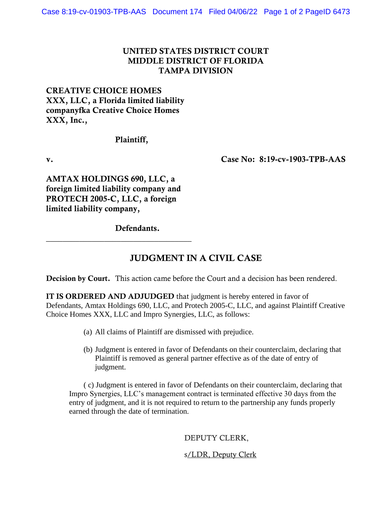## UNITED STATES DISTRICT COURT MIDDLE DISTRICT OF FLORIDA TAMPA DIVISION

# CREATIVE CHOICE HOMES XXX, LLC, a Florida limited liability companyfka Creative Choice Homes XXX, Inc.,

### Plaintiff,

v. Case No: 8:19-cv-1903-TPB-AAS

AMTAX HOLDINGS 690, LLC, a foreign limited liability company and PROTECH 2005-C, LLC, a foreign limited liability company,

\_\_\_\_\_\_\_\_\_\_\_\_\_\_\_\_\_\_\_\_\_\_\_\_\_\_\_\_\_\_\_\_\_\_\_

Defendants.

# JUDGMENT IN A CIVIL CASE

Decision by Court. This action came before the Court and a decision has been rendered.

IT IS ORDERED AND ADJUDGED that judgment is hereby entered in favor of Defendants, Amtax Holdings 690, LLC, and Protech 2005-C, LLC, and against Plaintiff Creative Choice Homes XXX, LLC and Impro Synergies, LLC, as follows:

- (a) All claims of Plaintiff are dismissed with prejudice.
- (b) Judgment is entered in favor of Defendants on their counterclaim, declaring that Plaintiff is removed as general partner effective as of the date of entry of judgment.

( c) Judgment is entered in favor of Defendants on their counterclaim, declaring that Impro Synergies, LLC's management contract is terminated effective 30 days from the entry of judgment, and it is not required to return to the partnership any funds properly earned through the date of termination.

DEPUTY CLERK,

s/LDR, Deputy Clerk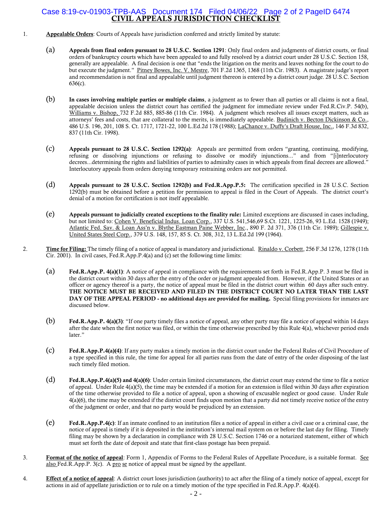#### CIVIL APPEALS JURISDICTION CHECKLIST Case 8:19-cv-01903-TPB-AAS Document 174 Filed 04/06/22 Page 2 of 2 PageID 6474

- 1. Appealable Orders: Courts of Appeals have jurisdiction conferred and strictly limited by statute:
	- (a) Appeals from final orders pursuant to 28 U.S.C. Section 1291: Only final orders and judgments of district courts, or final orders of bankruptcy courts which have been appealed to and fully resolved by a district court under 28 U.S.C. Section 158, generally are appealable. A final decision is one that "ends the litigation on the merits and leaves nothing for the court to do but execute the judgment." Pitney Bowes, Inc. V. Mestre, 701 F.2d 1365, 1368 (11th Cir. 1983). A magistrate judge's report and recommendation is not final and appealable until judgment thereon is entered by a district court judge. 28 U.S.C. Section 636(c).
	- (b) In cases involving multiple parties or multiple claims, a judgment as to fewer than all parties or all claims is not a final, appealable decision unless the district court has certified the judgment for immediate review under Fed.R.Civ.P. 54(b), Williams v. Bishop, 732 F.2d 885, 885-86 (11th Cir. 1984). A judgment which resolves all issues except matters, such as attorneys' fees and costs, that are collateral to the merits, is immediately appealable. Budinich v. Becton Dickinson & Co., 486 U.S. 196, 201, 108 S. Ct. 1717, 1721-22, 100 L.Ed.2d 178 (1988); LaChance v. Duffy's Draft House, Inc., 146 F.3d 832, 837 (11th Cir. 1998).
	- (c) Appeals pursuant to 28 U.S.C. Section 1292(a): Appeals are permitted from orders "granting, continuing, modifying, refusing or dissolving injunctions or refusing to dissolve or modify injunctions..." and from "[i]nterlocutory decrees...determining the rights and liabilities of parties to admiralty cases in which appeals from final decrees are allowed." Interlocutory appeals from orders denying temporary restraining orders are not permitted.
	- (d) Appeals pursuant to 28 U.S.C. Section 1292(b) and Fed.R.App.P.5: The certification specified in 28 U.S.C. Section 1292(b) must be obtained before a petition for permission to appeal is filed in the Court of Appeals. The district court's denial of a motion for certification is not itself appealable.
	- (e) Appeals pursuant to judicially created exceptions to the finality rule: Limited exceptions are discussed in cases including, but not limited to: Cohen V. Beneficial Indus. Loan Corp., 337 U.S. 541,546,69 S.Ct. 1221, 1225-26, 93 L.Ed. 1528 (1949); Atlantic Fed. Sav. & Loan Ass'n v. Blythe Eastman Paine Webber, Inc., 890 F. 2d 371, 376 (11th Cir. 1989); Gillespie v. United States Steel Corp., 379 U.S. 148, 157, 85 S. Ct. 308, 312, 13 L.Ed.2d 199 (1964).
- 2. Time for Filing: The timely filing of a notice of appeal is mandatory and jurisdictional. Rinaldo v. Corbett, 256 F.3d 1276, 1278 (11th Cir. 2001). In civil cases, Fed.R.App.P.4(a) and (c) set the following time limits:
	- (a) Fed.R.App.P. 4(a)(1): A notice of appeal in compliance with the requirements set forth in Fed.R.App.P. 3 must be filed in the district court within 30 days after the entry of the order or judgment appealed from. However, if the United States or an officer or agency thereof is a party, the notice of appeal must be filed in the district court within 60 days after such entry. THE NOTICE MUST BE RECEIVED AND FILED IN THE DISTRICT COURT NO LATER THAN THE LAST DAY OF THE APPEAL PERIOD - no additional days are provided for mailing. Special filing provisions for inmates are discussed below.
	- (b) Fed.R.App.P. 4(a)(3): "If one party timely files a notice of appeal, any other party may file a notice of appeal within 14 days after the date when the first notice was filed, or within the time otherwise prescribed by this Rule 4(a), whichever period ends later."
	- (c) Fed.R.App.P.4(a)(4): If any party makes a timely motion in the district court under the Federal Rules of Civil Procedure of a type specified in this rule, the time for appeal for all parties runs from the date of entry of the order disposing of the last such timely filed motion.
	- (d) Fed.R.App.P.4(a)(5) and 4(a)(6): Under certain limited circumstances, the district court may extend the time to file a notice of appeal. Under Rule  $4(a)(5)$ , the time may be extended if a motion for an extension is filed within 30 days after expiration of the time otherwise provided to file a notice of appeal, upon a showing of excusable neglect or good cause. Under Rule 4(a)(6), the time may be extended if the district court finds upon motion that a party did not timely receive notice of the entry of the judgment or order, and that no party would be prejudiced by an extension.
	- (e) Fed.R.App.P.4(c): If an inmate confined to an institution files a notice of appeal in either a civil case or a criminal case, the notice of appeal is timely if it is deposited in the institution's internal mail system on or before the last day for filing. Timely filing may be shown by a declaration in compliance with 28 U.S.C. Section 1746 or a notarized statement, either of which must set forth the date of deposit and state that first-class postage has been prepaid.
- 3. Format of the notice of appeal: Form 1, Appendix of Forms to the Federal Rules of Appellate Procedure, is a suitable format. See also Fed.R.App.P. 3(c). A pro se notice of appeal must be signed by the appellant.
- 4. **Effect of a notice of appeal**: A district court loses jurisdiction (authority) to act after the filing of a timely notice of appeal, except for actions in aid of appellate jurisdiction or to rule on a timely motion of the type specified in Fed.R.App.P. 4(a)(4).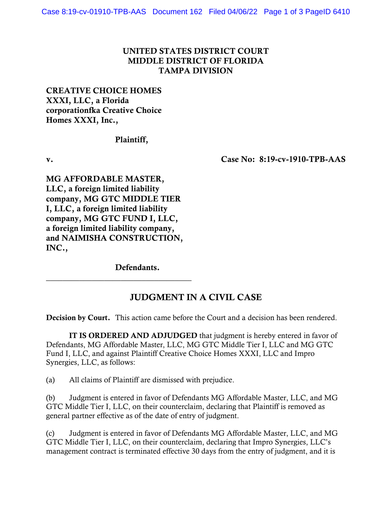## UNITED STATES DISTRICT COURT MIDDLE DISTRICT OF FLORIDA TAMPA DIVISION

# CREATIVE CHOICE HOMES XXXI, LLC, a Florida corporationfka Creative Choice Homes XXXI, Inc.,

### Plaintiff,

v. Case No: 8:19-cv-1910-TPB-AAS

MG AFFORDABLE MASTER, LLC, a foreign limited liability company, MG GTC MIDDLE TIER I, LLC, a foreign limited liability company, MG GTC FUND I, LLC, a foreign limited liability company, and NAIMISHA CONSTRUCTION, INC.,

\_\_\_\_\_\_\_\_\_\_\_\_\_\_\_\_\_\_\_\_\_\_\_\_\_\_\_\_\_\_\_\_\_\_\_

Defendants.

# JUDGMENT IN A CIVIL CASE

Decision by Court. This action came before the Court and a decision has been rendered.

IT IS ORDERED AND ADJUDGED that judgment is hereby entered in favor of Defendants, MG Affordable Master, LLC, MG GTC Middle Tier I, LLC and MG GTC Fund I, LLC, and against Plaintiff Creative Choice Homes XXXI, LLC and Impro Synergies, LLC, as follows:

(a) All claims of Plaintiff are dismissed with prejudice.

(b) Judgment is entered in favor of Defendants MG Affordable Master, LLC, and MG GTC Middle Tier I, LLC, on their counterclaim, declaring that Plaintiff is removed as general partner effective as of the date of entry of judgment.

(c) Judgment is entered in favor of Defendants MG Affordable Master, LLC, and MG GTC Middle Tier I, LLC, on their counterclaim, declaring that Impro Synergies, LLC's management contract is terminated effective 30 days from the entry of judgment, and it is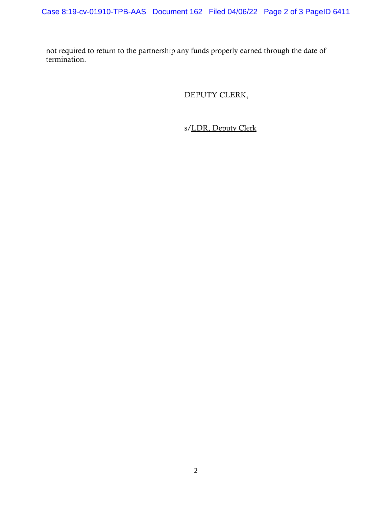not required to return to the partnership any funds properly earned through the date of termination.

DEPUTY CLERK,

s/LDR, Deputy Clerk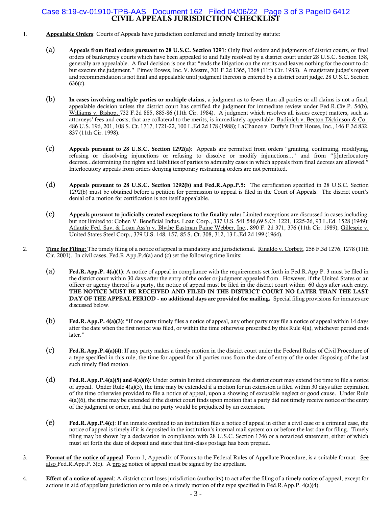#### CIVIL APPEALS JURISDICTION CHECKLIST Case 8:19-cv-01910-TPB-AAS Document 162 Filed 04/06/22 Page 3 of 3 PageID 6412

- 1. Appealable Orders: Courts of Appeals have jurisdiction conferred and strictly limited by statute:
	- (a) Appeals from final orders pursuant to 28 U.S.C. Section 1291: Only final orders and judgments of district courts, or final orders of bankruptcy courts which have been appealed to and fully resolved by a district court under 28 U.S.C. Section 158, generally are appealable. A final decision is one that "ends the litigation on the merits and leaves nothing for the court to do but execute the judgment." Pitney Bowes, Inc. V. Mestre, 701 F.2d 1365, 1368 (11th Cir. 1983). A magistrate judge's report and recommendation is not final and appealable until judgment thereon is entered by a district court judge. 28 U.S.C. Section 636(c).
	- (b) In cases involving multiple parties or multiple claims, a judgment as to fewer than all parties or all claims is not a final, appealable decision unless the district court has certified the judgment for immediate review under Fed.R.Civ.P. 54(b), Williams v. Bishop, 732 F.2d 885, 885-86 (11th Cir. 1984). A judgment which resolves all issues except matters, such as attorneys' fees and costs, that are collateral to the merits, is immediately appealable. Budinich v. Becton Dickinson & Co., 486 U.S. 196, 201, 108 S. Ct. 1717, 1721-22, 100 L.Ed.2d 178 (1988); LaChance v. Duffy's Draft House, Inc., 146 F.3d 832, 837 (11th Cir. 1998).
	- (c) Appeals pursuant to 28 U.S.C. Section 1292(a): Appeals are permitted from orders "granting, continuing, modifying, refusing or dissolving injunctions or refusing to dissolve or modify injunctions..." and from "[i]nterlocutory decrees...determining the rights and liabilities of parties to admiralty cases in which appeals from final decrees are allowed." Interlocutory appeals from orders denying temporary restraining orders are not permitted.
	- (d) Appeals pursuant to 28 U.S.C. Section 1292(b) and Fed.R.App.P.5: The certification specified in 28 U.S.C. Section 1292(b) must be obtained before a petition for permission to appeal is filed in the Court of Appeals. The district court's denial of a motion for certification is not itself appealable.
	- (e) Appeals pursuant to judicially created exceptions to the finality rule: Limited exceptions are discussed in cases including, but not limited to: Cohen V. Beneficial Indus. Loan Corp., 337 U.S. 541,546,69 S.Ct. 1221, 1225-26, 93 L.Ed. 1528 (1949); Atlantic Fed. Sav. & Loan Ass'n v. Blythe Eastman Paine Webber, Inc., 890 F. 2d 371, 376 (11th Cir. 1989); Gillespie v. United States Steel Corp., 379 U.S. 148, 157, 85 S. Ct. 308, 312, 13 L.Ed.2d 199 (1964).
- 2. Time for Filing: The timely filing of a notice of appeal is mandatory and jurisdictional. Rinaldo v. Corbett, 256 F.3d 1276, 1278 (11th Cir. 2001). In civil cases, Fed.R.App.P.4(a) and (c) set the following time limits:
	- (a) Fed.R.App.P. 4(a)(1): A notice of appeal in compliance with the requirements set forth in Fed.R.App.P. 3 must be filed in the district court within 30 days after the entry of the order or judgment appealed from. However, if the United States or an officer or agency thereof is a party, the notice of appeal must be filed in the district court within 60 days after such entry. THE NOTICE MUST BE RECEIVED AND FILED IN THE DISTRICT COURT NO LATER THAN THE LAST DAY OF THE APPEAL PERIOD - no additional days are provided for mailing. Special filing provisions for inmates are discussed below.
	- (b) Fed.R.App.P. 4(a)(3): "If one party timely files a notice of appeal, any other party may file a notice of appeal within 14 days after the date when the first notice was filed, or within the time otherwise prescribed by this Rule 4(a), whichever period ends later."
	- (c) Fed.R.App.P.4(a)(4): If any party makes a timely motion in the district court under the Federal Rules of Civil Procedure of a type specified in this rule, the time for appeal for all parties runs from the date of entry of the order disposing of the last such timely filed motion.
	- (d) Fed.R.App.P.4(a)(5) and 4(a)(6): Under certain limited circumstances, the district court may extend the time to file a notice of appeal. Under Rule  $4(a)(5)$ , the time may be extended if a motion for an extension is filed within 30 days after expiration of the time otherwise provided to file a notice of appeal, upon a showing of excusable neglect or good cause. Under Rule 4(a)(6), the time may be extended if the district court finds upon motion that a party did not timely receive notice of the entry of the judgment or order, and that no party would be prejudiced by an extension.
	- (e) Fed.R.App.P.4(c): If an inmate confined to an institution files a notice of appeal in either a civil case or a criminal case, the notice of appeal is timely if it is deposited in the institution's internal mail system on or before the last day for filing. Timely filing may be shown by a declaration in compliance with 28 U.S.C. Section 1746 or a notarized statement, either of which must set forth the date of deposit and state that first-class postage has been prepaid.
- 3. Format of the notice of appeal: Form 1, Appendix of Forms to the Federal Rules of Appellate Procedure, is a suitable format. See also Fed.R.App.P. 3(c). A pro se notice of appeal must be signed by the appellant.
- 4. **Effect of a notice of appeal**: A district court loses jurisdiction (authority) to act after the filing of a timely notice of appeal, except for actions in aid of appellate jurisdiction or to rule on a timely motion of the type specified in Fed.R.App.P. 4(a)(4).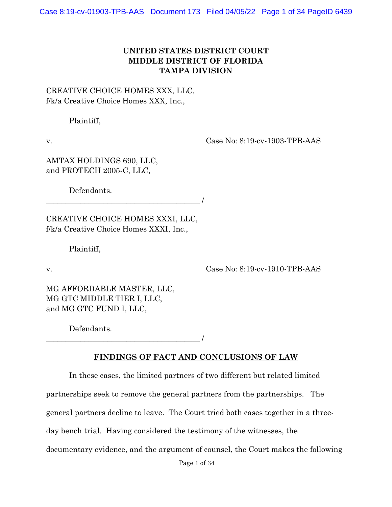## **UNITED STATES DISTRICT COURT MIDDLE DISTRICT OF FLORIDA TAMPA DIVISION**

CREATIVE CHOICE HOMES XXX, LLC, f/k/a Creative Choice Homes XXX, Inc.,

Plaintiff,

v. Case No: 8:19-cv-1903-TPB-AAS

AMTAX HOLDINGS 690, LLC, and PROTECH 2005-C, LLC,

Defendants.

CREATIVE CHOICE HOMES XXXI, LLC, f/k/a Creative Choice Homes XXXI, Inc.,

\_\_\_\_\_\_\_\_\_\_\_\_\_\_\_\_\_\_\_\_\_\_\_\_\_\_\_\_\_\_\_\_\_\_\_\_\_\_\_\_ /

Plaintiff,

v. Case No: 8:19-cv-1910-TPB-AAS

MG AFFORDABLE MASTER, LLC, MG GTC MIDDLE TIER I, LLC, and MG GTC FUND I, LLC,

Defendants.

\_\_\_\_\_\_\_\_\_\_\_\_\_\_\_\_\_\_\_\_\_\_\_\_\_\_\_\_\_\_\_\_\_\_\_\_\_\_\_\_ /

# **FINDINGS OF FACT AND CONCLUSIONS OF LAW**

In these cases, the limited partners of two different but related limited

partnerships seek to remove the general partners from the partnerships. The

general partners decline to leave. The Court tried both cases together in a three-

day bench trial. Having considered the testimony of the witnesses, the

documentary evidence, and the argument of counsel, the Court makes the following

Page 1 of 34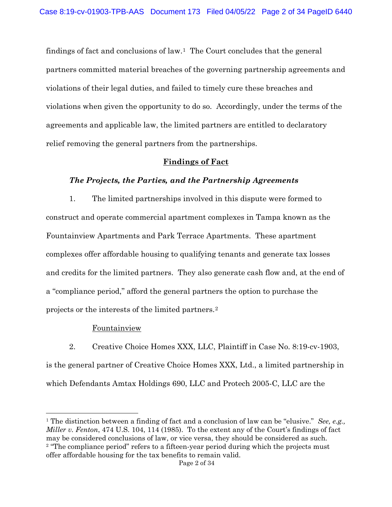findings of fact and conclusions of law.1 The Court concludes that the general partners committed material breaches of the governing partnership agreements and violations of their legal duties, and failed to timely cure these breaches and violations when given the opportunity to do so. Accordingly, under the terms of the agreements and applicable law, the limited partners are entitled to declaratory relief removing the general partners from the partnerships.

### **Findings of Fact**

#### *The Projects, the Parties, and the Partnership Agreements*

1. The limited partnerships involved in this dispute were formed to construct and operate commercial apartment complexes in Tampa known as the Fountainview Apartments and Park Terrace Apartments. These apartment complexes offer affordable housing to qualifying tenants and generate tax losses and credits for the limited partners. They also generate cash flow and, at the end of a "compliance period," afford the general partners the option to purchase the projects or the interests of the limited partners.2

### Fountainview

2. Creative Choice Homes XXX, LLC, Plaintiff in Case No. 8:19-cv-1903, is the general partner of Creative Choice Homes XXX, Ltd., a limited partnership in which Defendants Amtax Holdings 690, LLC and Protech 2005-C, LLC are the

<sup>1</sup> The distinction between a finding of fact and a conclusion of law can be "elusive." *See, e.g., Miller v. Fenton*, 474 U.S. 104, 114 (1985). To the extent any of the Court's findings of fact may be considered conclusions of law, or vice versa, they should be considered as such.<br><sup>2</sup> "The compliance period" refers to a fifteen-year period during which the projects must offer affordable housing for the tax benefits to remain valid.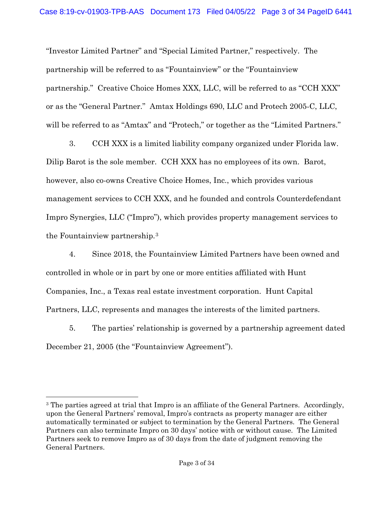"Investor Limited Partner" and "Special Limited Partner," respectively. The partnership will be referred to as "Fountainview" or the "Fountainview partnership." Creative Choice Homes XXX, LLC, will be referred to as "CCH XXX" or as the "General Partner." Amtax Holdings 690, LLC and Protech 2005-C, LLC, will be referred to as "Amtax" and "Protech," or together as the "Limited Partners."

3. CCH XXX is a limited liability company organized under Florida law. Dilip Barot is the sole member. CCH XXX has no employees of its own. Barot, however, also co-owns Creative Choice Homes, Inc., which provides various management services to CCH XXX, and he founded and controls Counterdefendant Impro Synergies, LLC ("Impro"), which provides property management services to the Fountainview partnership.3

4. Since 2018, the Fountainview Limited Partners have been owned and controlled in whole or in part by one or more entities affiliated with Hunt Companies, Inc., a Texas real estate investment corporation. Hunt Capital Partners, LLC, represents and manages the interests of the limited partners.

5. The parties' relationship is governed by a partnership agreement dated December 21, 2005 (the "Fountainview Agreement").

<sup>&</sup>lt;sup>3</sup> The parties agreed at trial that Impro is an affiliate of the General Partners. Accordingly, upon the General Partners' removal, Impro's contracts as property manager are either automatically terminated or subject to termination by the General Partners. The General Partners can also terminate Impro on 30 days' notice with or without cause. The Limited Partners seek to remove Impro as of 30 days from the date of judgment removing the General Partners.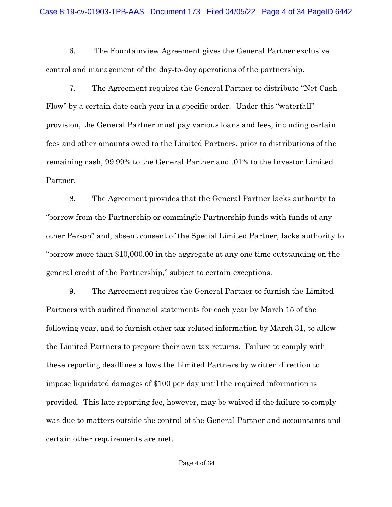6. The Fountainview Agreement gives the General Partner exclusive control and management of the day-to-day operations of the partnership.

7. The Agreement requires the General Partner to distribute "Net Cash Flow" by a certain date each year in a specific order. Under this "waterfall" provision, the General Partner must pay various loans and fees, including certain fees and other amounts owed to the Limited Partners, prior to distributions of the remaining cash, 99.99% to the General Partner and .01% to the Investor Limited Partner.

8. The Agreement provides that the General Partner lacks authority to "borrow from the Partnership or commingle Partnership funds with funds of any other Person" and, absent consent of the Special Limited Partner, lacks authority to "borrow more than \$10,000.00 in the aggregate at any one time outstanding on the general credit of the Partnership," subject to certain exceptions.

9. The Agreement requires the General Partner to furnish the Limited Partners with audited financial statements for each year by March 15 of the following year, and to furnish other tax-related information by March 31, to allow the Limited Partners to prepare their own tax returns. Failure to comply with these reporting deadlines allows the Limited Partners by written direction to impose liquidated damages of \$100 per day until the required information is provided. This late reporting fee, however, may be waived if the failure to comply was due to matters outside the control of the General Partner and accountants and certain other requirements are met.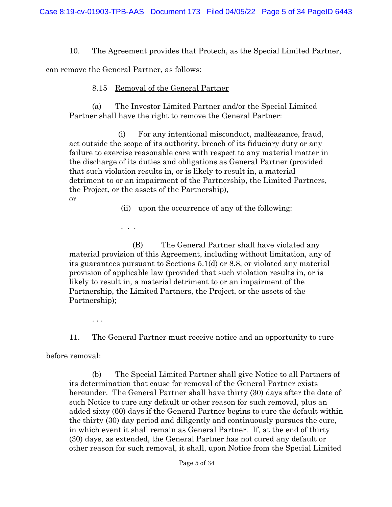10. The Agreement provides that Protech, as the Special Limited Partner,

can remove the General Partner, as follows:

. . .

## 8.15 Removal of the General Partner

(a) The Investor Limited Partner and/or the Special Limited Partner shall have the right to remove the General Partner:

(i) For any intentional misconduct, malfeasance, fraud, act outside the scope of its authority, breach of its fiduciary duty or any failure to exercise reasonable care with respect to any material matter in the discharge of its duties and obligations as General Partner (provided that such violation results in, or is likely to result in, a material detriment to or an impairment of the Partnership, the Limited Partners, the Project, or the assets of the Partnership), or

(ii) upon the occurrence of any of the following:

(B) The General Partner shall have violated any material provision of this Agreement, including without limitation, any of its guarantees pursuant to Sections 5.1(d) or 8.8, or violated any material provision of applicable law (provided that such violation results in, or is likely to result in, a material detriment to or an impairment of the Partnership, the Limited Partners, the Project, or the assets of the Partnership);

. . .

11. The General Partner must receive notice and an opportunity to cure

before removal:

(b) The Special Limited Partner shall give Notice to all Partners of its determination that cause for removal of the General Partner exists hereunder. The General Partner shall have thirty (30) days after the date of such Notice to cure any default or other reason for such removal, plus an added sixty (60) days if the General Partner begins to cure the default within the thirty (30) day period and diligently and continuously pursues the cure, in which event it shall remain as General Partner. If, at the end of thirty (30) days, as extended, the General Partner has not cured any default or other reason for such removal, it shall, upon Notice from the Special Limited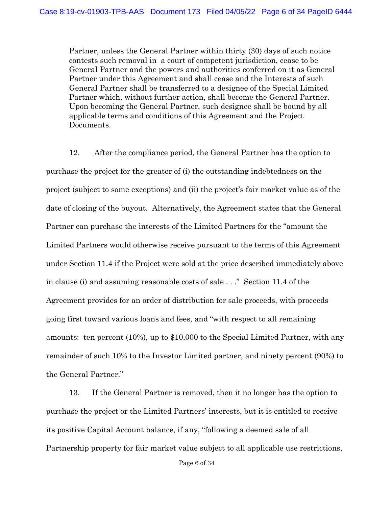Partner, unless the General Partner within thirty (30) days of such notice contests such removal in a court of competent jurisdiction, cease to be General Partner and the powers and authorities conferred on it as General Partner under this Agreement and shall cease and the Interests of such General Partner shall be transferred to a designee of the Special Limited Partner which, without further action, shall become the General Partner. Upon becoming the General Partner, such designee shall be bound by all applicable terms and conditions of this Agreement and the Project Documents.

12. After the compliance period, the General Partner has the option to purchase the project for the greater of (i) the outstanding indebtedness on the project (subject to some exceptions) and (ii) the project's fair market value as of the date of closing of the buyout. Alternatively, the Agreement states that the General Partner can purchase the interests of the Limited Partners for the "amount the Limited Partners would otherwise receive pursuant to the terms of this Agreement under Section 11.4 if the Project were sold at the price described immediately above in clause (i) and assuming reasonable costs of sale . . ." Section 11.4 of the Agreement provides for an order of distribution for sale proceeds, with proceeds going first toward various loans and fees, and "with respect to all remaining amounts: ten percent (10%), up to \$10,000 to the Special Limited Partner, with any remainder of such 10% to the Investor Limited partner, and ninety percent (90%) to the General Partner."

13. If the General Partner is removed, then it no longer has the option to purchase the project or the Limited Partners' interests, but it is entitled to receive its positive Capital Account balance, if any, "following a deemed sale of all Partnership property for fair market value subject to all applicable use restrictions,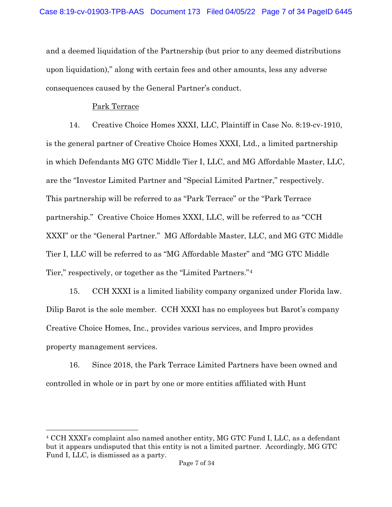and a deemed liquidation of the Partnership (but prior to any deemed distributions upon liquidation)," along with certain fees and other amounts, less any adverse consequences caused by the General Partner's conduct.

### Park Terrace

14. Creative Choice Homes XXXI, LLC, Plaintiff in Case No. 8:19-cv-1910, is the general partner of Creative Choice Homes XXXI, Ltd., a limited partnership in which Defendants MG GTC Middle Tier I, LLC, and MG Affordable Master, LLC, are the "Investor Limited Partner and "Special Limited Partner," respectively. This partnership will be referred to as "Park Terrace" or the "Park Terrace partnership." Creative Choice Homes XXXI, LLC, will be referred to as "CCH XXXI" or the "General Partner." MG Affordable Master, LLC, and MG GTC Middle Tier I, LLC will be referred to as "MG Affordable Master" and "MG GTC Middle Tier," respectively, or together as the "Limited Partners."4

15. CCH XXXI is a limited liability company organized under Florida law. Dilip Barot is the sole member. CCH XXXI has no employees but Barot's company Creative Choice Homes, Inc., provides various services, and Impro provides property management services.

16. Since 2018, the Park Terrace Limited Partners have been owned and controlled in whole or in part by one or more entities affiliated with Hunt

<sup>4</sup> CCH XXXI's complaint also named another entity, MG GTC Fund I, LLC, as a defendant but it appears undisputed that this entity is not a limited partner. Accordingly, MG GTC Fund I, LLC, is dismissed as a party.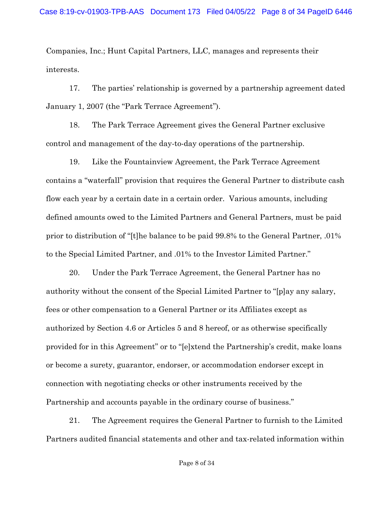Companies, Inc.; Hunt Capital Partners, LLC, manages and represents their interests.

17. The parties' relationship is governed by a partnership agreement dated January 1, 2007 (the "Park Terrace Agreement").

18. The Park Terrace Agreement gives the General Partner exclusive control and management of the day-to-day operations of the partnership.

19. Like the Fountainview Agreement, the Park Terrace Agreement contains a "waterfall" provision that requires the General Partner to distribute cash flow each year by a certain date in a certain order. Various amounts, including defined amounts owed to the Limited Partners and General Partners, must be paid prior to distribution of "[t]he balance to be paid 99.8% to the General Partner, .01% to the Special Limited Partner, and .01% to the Investor Limited Partner."

20. Under the Park Terrace Agreement, the General Partner has no authority without the consent of the Special Limited Partner to "[p]ay any salary, fees or other compensation to a General Partner or its Affiliates except as authorized by Section 4.6 or Articles 5 and 8 hereof, or as otherwise specifically provided for in this Agreement" or to "[e]xtend the Partnership's credit, make loans or become a surety, guarantor, endorser, or accommodation endorser except in connection with negotiating checks or other instruments received by the Partnership and accounts payable in the ordinary course of business."

21. The Agreement requires the General Partner to furnish to the Limited Partners audited financial statements and other and tax-related information within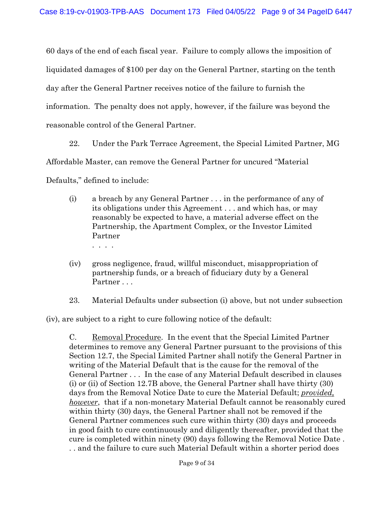60 days of the end of each fiscal year. Failure to comply allows the imposition of liquidated damages of \$100 per day on the General Partner, starting on the tenth day after the General Partner receives notice of the failure to furnish the information. The penalty does not apply, however, if the failure was beyond the reasonable control of the General Partner.

22. Under the Park Terrace Agreement, the Special Limited Partner, MG Affordable Master, can remove the General Partner for uncured "Material Defaults," defined to include:

- (i) a breach by any General Partner . . . in the performance of any of its obligations under this Agreement . . . and which has, or may reasonably be expected to have, a material adverse effect on the Partnership, the Apartment Complex, or the Investor Limited Partner . . . .
- (iv) gross negligence, fraud, willful misconduct, misappropriation of partnership funds, or a breach of fiduciary duty by a General Partner . . .
- 23. Material Defaults under subsection (i) above, but not under subsection

(iv), are subject to a right to cure following notice of the default:

C. Removal Procedure. In the event that the Special Limited Partner determines to remove any General Partner pursuant to the provisions of this Section 12.7, the Special Limited Partner shall notify the General Partner in writing of the Material Default that is the cause for the removal of the General Partner . . . In the case of any Material Default described in clauses (i) or (ii) of Section 12.7B above, the General Partner shall have thirty (30) days from the Removal Notice Date to cure the Material Default; *provided, however*, that if a non-monetary Material Default cannot be reasonably cured within thirty (30) days, the General Partner shall not be removed if the General Partner commences such cure within thirty (30) days and proceeds in good faith to cure continuously and diligently thereafter, provided that the cure is completed within ninety (90) days following the Removal Notice Date . . . and the failure to cure such Material Default within a shorter period does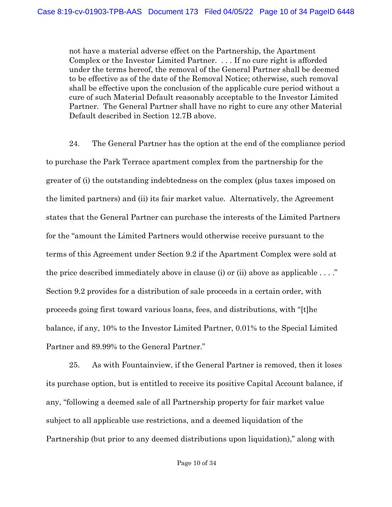not have a material adverse effect on the Partnership, the Apartment Complex or the Investor Limited Partner. . . . If no cure right is afforded under the terms hereof, the removal of the General Partner shall be deemed to be effective as of the date of the Removal Notice; otherwise, such removal shall be effective upon the conclusion of the applicable cure period without a cure of such Material Default reasonably acceptable to the Investor Limited Partner. The General Partner shall have no right to cure any other Material Default described in Section 12.7B above.

24. The General Partner has the option at the end of the compliance period to purchase the Park Terrace apartment complex from the partnership for the greater of (i) the outstanding indebtedness on the complex (plus taxes imposed on the limited partners) and (ii) its fair market value. Alternatively, the Agreement states that the General Partner can purchase the interests of the Limited Partners for the "amount the Limited Partners would otherwise receive pursuant to the terms of this Agreement under Section 9.2 if the Apartment Complex were sold at the price described immediately above in clause (i) or (ii) above as applicable  $\dots$ ." Section 9.2 provides for a distribution of sale proceeds in a certain order, with proceeds going first toward various loans, fees, and distributions, with "[t]he balance, if any, 10% to the Investor Limited Partner, 0.01% to the Special Limited Partner and 89.99% to the General Partner."

25. As with Fountainview, if the General Partner is removed, then it loses its purchase option, but is entitled to receive its positive Capital Account balance, if any, "following a deemed sale of all Partnership property for fair market value subject to all applicable use restrictions, and a deemed liquidation of the Partnership (but prior to any deemed distributions upon liquidation)," along with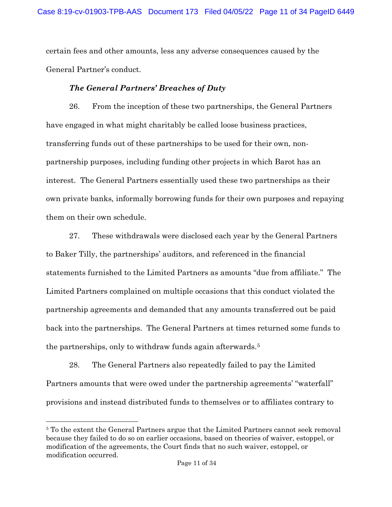certain fees and other amounts, less any adverse consequences caused by the General Partner's conduct.

## *The General Partners' Breaches of Duty*

26. From the inception of these two partnerships, the General Partners have engaged in what might charitably be called loose business practices, transferring funds out of these partnerships to be used for their own, nonpartnership purposes, including funding other projects in which Barot has an interest. The General Partners essentially used these two partnerships as their own private banks, informally borrowing funds for their own purposes and repaying them on their own schedule.

27. These withdrawals were disclosed each year by the General Partners to Baker Tilly, the partnerships' auditors, and referenced in the financial statements furnished to the Limited Partners as amounts "due from affiliate." The Limited Partners complained on multiple occasions that this conduct violated the partnership agreements and demanded that any amounts transferred out be paid back into the partnerships. The General Partners at times returned some funds to the partnerships, only to withdraw funds again afterwards.5

28. The General Partners also repeatedly failed to pay the Limited Partners amounts that were owed under the partnership agreements' "waterfall" provisions and instead distributed funds to themselves or to affiliates contrary to

<sup>5</sup> To the extent the General Partners argue that the Limited Partners cannot seek removal because they failed to do so on earlier occasions, based on theories of waiver, estoppel, or modification of the agreements, the Court finds that no such waiver, estoppel, or modification occurred.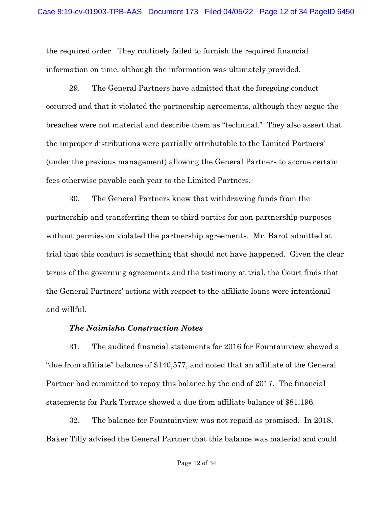the required order. They routinely failed to furnish the required financial information on time, although the information was ultimately provided.

29. The General Partners have admitted that the foregoing conduct occurred and that it violated the partnership agreements, although they argue the breaches were not material and describe them as "technical." They also assert that the improper distributions were partially attributable to the Limited Partners' (under the previous management) allowing the General Partners to accrue certain fees otherwise payable each year to the Limited Partners.

30. The General Partners knew that withdrawing funds from the partnership and transferring them to third parties for non-partnership purposes without permission violated the partnership agreements. Mr. Barot admitted at trial that this conduct is something that should not have happened. Given the clear terms of the governing agreements and the testimony at trial, the Court finds that the General Partners' actions with respect to the affiliate loans were intentional and willful.

### *The Naimisha Construction Notes*

31. The audited financial statements for 2016 for Fountainview showed a "due from affiliate" balance of \$140,577, and noted that an affiliate of the General Partner had committed to repay this balance by the end of 2017. The financial statements for Park Terrace showed a due from affiliate balance of \$81,196.

32. The balance for Fountainview was not repaid as promised. In 2018, Baker Tilly advised the General Partner that this balance was material and could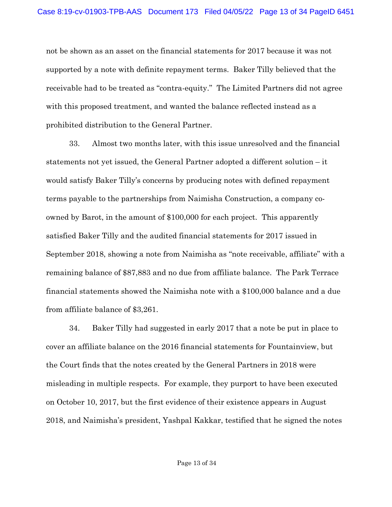not be shown as an asset on the financial statements for 2017 because it was not supported by a note with definite repayment terms. Baker Tilly believed that the receivable had to be treated as "contra-equity." The Limited Partners did not agree with this proposed treatment, and wanted the balance reflected instead as a prohibited distribution to the General Partner.

33. Almost two months later, with this issue unresolved and the financial statements not yet issued, the General Partner adopted a different solution – it would satisfy Baker Tilly's concerns by producing notes with defined repayment terms payable to the partnerships from Naimisha Construction, a company coowned by Barot, in the amount of \$100,000 for each project. This apparently satisfied Baker Tilly and the audited financial statements for 2017 issued in September 2018, showing a note from Naimisha as "note receivable, affiliate" with a remaining balance of \$87,883 and no due from affiliate balance. The Park Terrace financial statements showed the Naimisha note with a \$100,000 balance and a due from affiliate balance of \$3,261.

34. Baker Tilly had suggested in early 2017 that a note be put in place to cover an affiliate balance on the 2016 financial statements for Fountainview, but the Court finds that the notes created by the General Partners in 2018 were misleading in multiple respects. For example, they purport to have been executed on October 10, 2017, but the first evidence of their existence appears in August 2018, and Naimisha's president, Yashpal Kakkar, testified that he signed the notes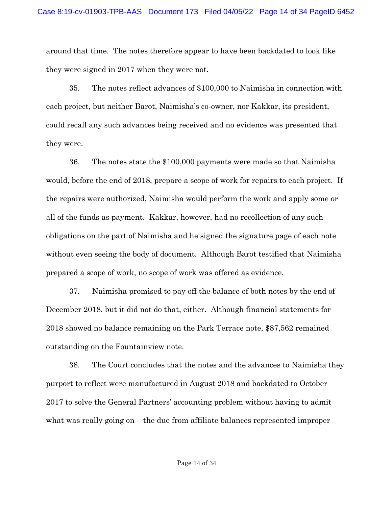around that time. The notes therefore appear to have been backdated to look like they were signed in 2017 when they were not.

35. The notes reflect advances of \$100,000 to Naimisha in connection with each project, but neither Barot, Naimisha's co-owner, nor Kakkar, its president, could recall any such advances being received and no evidence was presented that they were.

36. The notes state the \$100,000 payments were made so that Naimisha would, before the end of 2018, prepare a scope of work for repairs to each project. If the repairs were authorized, Naimisha would perform the work and apply some or all of the funds as payment. Kakkar, however, had no recollection of any such obligations on the part of Naimisha and he signed the signature page of each note without even seeing the body of document. Although Barot testified that Naimisha prepared a scope of work, no scope of work was offered as evidence.

37. Naimisha promised to pay off the balance of both notes by the end of December 2018, but it did not do that, either. Although financial statements for 2018 showed no balance remaining on the Park Terrace note, \$87,562 remained outstanding on the Fountainview note.

38. The Court concludes that the notes and the advances to Naimisha they purport to reflect were manufactured in August 2018 and backdated to October 2017 to solve the General Partners' accounting problem without having to admit what was really going on – the due from affiliate balances represented improper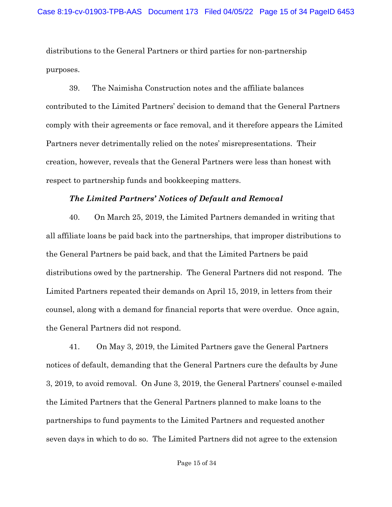distributions to the General Partners or third parties for non-partnership purposes.

39. The Naimisha Construction notes and the affiliate balances contributed to the Limited Partners' decision to demand that the General Partners comply with their agreements or face removal, and it therefore appears the Limited Partners never detrimentally relied on the notes' misrepresentations. Their creation, however, reveals that the General Partners were less than honest with respect to partnership funds and bookkeeping matters.

### *The Limited Partners' Notices of Default and Removal*

40. On March 25, 2019, the Limited Partners demanded in writing that all affiliate loans be paid back into the partnerships, that improper distributions to the General Partners be paid back, and that the Limited Partners be paid distributions owed by the partnership. The General Partners did not respond. The Limited Partners repeated their demands on April 15, 2019, in letters from their counsel, along with a demand for financial reports that were overdue. Once again, the General Partners did not respond.

41. On May 3, 2019, the Limited Partners gave the General Partners notices of default, demanding that the General Partners cure the defaults by June 3, 2019, to avoid removal. On June 3, 2019, the General Partners' counsel e-mailed the Limited Partners that the General Partners planned to make loans to the partnerships to fund payments to the Limited Partners and requested another seven days in which to do so. The Limited Partners did not agree to the extension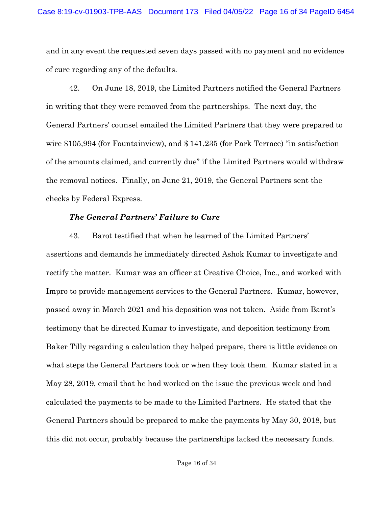and in any event the requested seven days passed with no payment and no evidence of cure regarding any of the defaults.

42. On June 18, 2019, the Limited Partners notified the General Partners in writing that they were removed from the partnerships. The next day, the General Partners' counsel emailed the Limited Partners that they were prepared to wire \$105,994 (for Fountainview), and \$ 141,235 (for Park Terrace) "in satisfaction of the amounts claimed, and currently due" if the Limited Partners would withdraw the removal notices. Finally, on June 21, 2019, the General Partners sent the checks by Federal Express.

### *The General Partners' Failure to Cure*

43. Barot testified that when he learned of the Limited Partners' assertions and demands he immediately directed Ashok Kumar to investigate and rectify the matter. Kumar was an officer at Creative Choice, Inc., and worked with Impro to provide management services to the General Partners. Kumar, however, passed away in March 2021 and his deposition was not taken. Aside from Barot's testimony that he directed Kumar to investigate, and deposition testimony from Baker Tilly regarding a calculation they helped prepare, there is little evidence on what steps the General Partners took or when they took them. Kumar stated in a May 28, 2019, email that he had worked on the issue the previous week and had calculated the payments to be made to the Limited Partners. He stated that the General Partners should be prepared to make the payments by May 30, 2018, but this did not occur, probably because the partnerships lacked the necessary funds.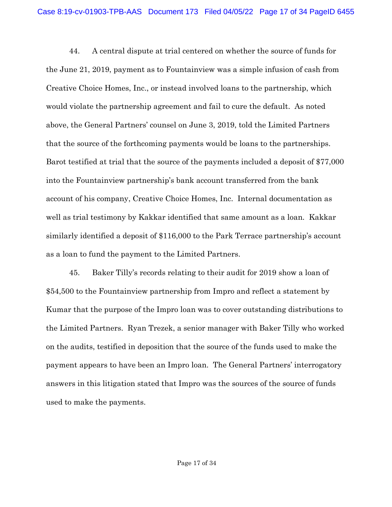44. A central dispute at trial centered on whether the source of funds for the June 21, 2019, payment as to Fountainview was a simple infusion of cash from Creative Choice Homes, Inc., or instead involved loans to the partnership, which would violate the partnership agreement and fail to cure the default. As noted above, the General Partners' counsel on June 3, 2019, told the Limited Partners that the source of the forthcoming payments would be loans to the partnerships. Barot testified at trial that the source of the payments included a deposit of \$77,000 into the Fountainview partnership's bank account transferred from the bank account of his company, Creative Choice Homes, Inc. Internal documentation as well as trial testimony by Kakkar identified that same amount as a loan. Kakkar similarly identified a deposit of \$116,000 to the Park Terrace partnership's account as a loan to fund the payment to the Limited Partners.

45. Baker Tilly's records relating to their audit for 2019 show a loan of \$54,500 to the Fountainview partnership from Impro and reflect a statement by Kumar that the purpose of the Impro loan was to cover outstanding distributions to the Limited Partners. Ryan Trezek, a senior manager with Baker Tilly who worked on the audits, testified in deposition that the source of the funds used to make the payment appears to have been an Impro loan. The General Partners' interrogatory answers in this litigation stated that Impro was the sources of the source of funds used to make the payments.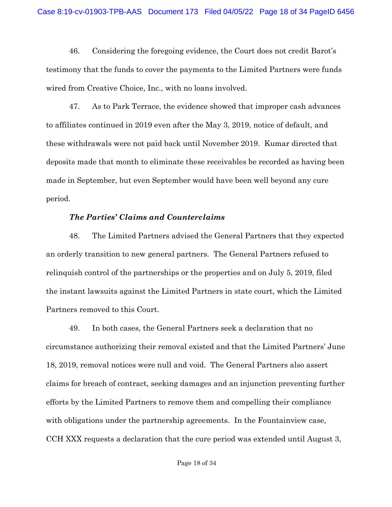46. Considering the foregoing evidence, the Court does not credit Barot's testimony that the funds to cover the payments to the Limited Partners were funds wired from Creative Choice, Inc., with no loans involved.

47. As to Park Terrace, the evidence showed that improper cash advances to affiliates continued in 2019 even after the May 3, 2019, notice of default, and these withdrawals were not paid back until November 2019. Kumar directed that deposits made that month to eliminate these receivables be recorded as having been made in September, but even September would have been well beyond any cure period.

### *The Parties' Claims and Counterclaims*

48. The Limited Partners advised the General Partners that they expected an orderly transition to new general partners. The General Partners refused to relinquish control of the partnerships or the properties and on July 5, 2019, filed the instant lawsuits against the Limited Partners in state court, which the Limited Partners removed to this Court.

49. In both cases, the General Partners seek a declaration that no circumstance authorizing their removal existed and that the Limited Partners' June 18, 2019, removal notices were null and void. The General Partners also assert claims for breach of contract, seeking damages and an injunction preventing further efforts by the Limited Partners to remove them and compelling their compliance with obligations under the partnership agreements. In the Fountainview case, CCH XXX requests a declaration that the cure period was extended until August 3,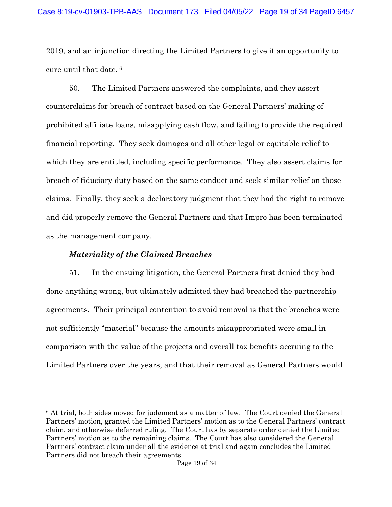2019, and an injunction directing the Limited Partners to give it an opportunity to cure until that date. <sup>6</sup>

50. The Limited Partners answered the complaints, and they assert counterclaims for breach of contract based on the General Partners' making of prohibited affiliate loans, misapplying cash flow, and failing to provide the required financial reporting. They seek damages and all other legal or equitable relief to which they are entitled, including specific performance. They also assert claims for breach of fiduciary duty based on the same conduct and seek similar relief on those claims. Finally, they seek a declaratory judgment that they had the right to remove and did properly remove the General Partners and that Impro has been terminated as the management company.

### *Materiality of the Claimed Breaches*

51. In the ensuing litigation, the General Partners first denied they had done anything wrong, but ultimately admitted they had breached the partnership agreements. Their principal contention to avoid removal is that the breaches were not sufficiently "material" because the amounts misappropriated were small in comparison with the value of the projects and overall tax benefits accruing to the Limited Partners over the years, and that their removal as General Partners would

<sup>6</sup> At trial, both sides moved for judgment as a matter of law. The Court denied the General Partners' motion, granted the Limited Partners' motion as to the General Partners' contract claim, and otherwise deferred ruling. The Court has by separate order denied the Limited Partners' motion as to the remaining claims. The Court has also considered the General Partners' contract claim under all the evidence at trial and again concludes the Limited Partners did not breach their agreements.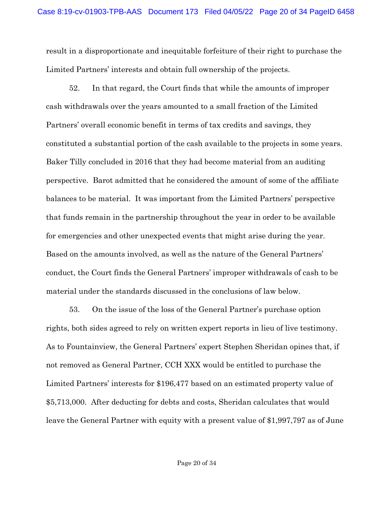result in a disproportionate and inequitable forfeiture of their right to purchase the Limited Partners' interests and obtain full ownership of the projects.

52. In that regard, the Court finds that while the amounts of improper cash withdrawals over the years amounted to a small fraction of the Limited Partners' overall economic benefit in terms of tax credits and savings, they constituted a substantial portion of the cash available to the projects in some years. Baker Tilly concluded in 2016 that they had become material from an auditing perspective. Barot admitted that he considered the amount of some of the affiliate balances to be material. It was important from the Limited Partners' perspective that funds remain in the partnership throughout the year in order to be available for emergencies and other unexpected events that might arise during the year. Based on the amounts involved, as well as the nature of the General Partners' conduct, the Court finds the General Partners' improper withdrawals of cash to be material under the standards discussed in the conclusions of law below.

53. On the issue of the loss of the General Partner's purchase option rights, both sides agreed to rely on written expert reports in lieu of live testimony. As to Fountainview, the General Partners' expert Stephen Sheridan opines that, if not removed as General Partner, CCH XXX would be entitled to purchase the Limited Partners' interests for \$196,477 based on an estimated property value of \$5,713,000. After deducting for debts and costs, Sheridan calculates that would leave the General Partner with equity with a present value of \$1,997,797 as of June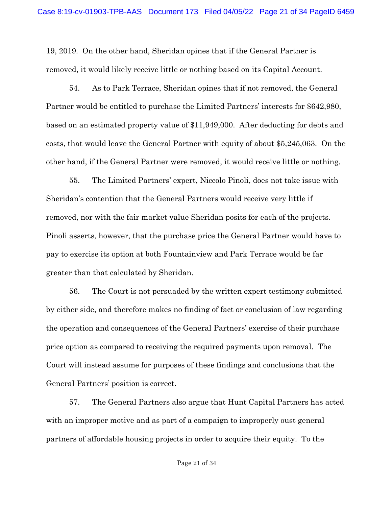19, 2019. On the other hand, Sheridan opines that if the General Partner is removed, it would likely receive little or nothing based on its Capital Account.

54. As to Park Terrace, Sheridan opines that if not removed, the General Partner would be entitled to purchase the Limited Partners' interests for \$642,980, based on an estimated property value of \$11,949,000. After deducting for debts and costs, that would leave the General Partner with equity of about \$5,245,063. On the other hand, if the General Partner were removed, it would receive little or nothing.

55. The Limited Partners' expert, Niccolo Pinoli, does not take issue with Sheridan's contention that the General Partners would receive very little if removed, nor with the fair market value Sheridan posits for each of the projects. Pinoli asserts, however, that the purchase price the General Partner would have to pay to exercise its option at both Fountainview and Park Terrace would be far greater than that calculated by Sheridan.

56. The Court is not persuaded by the written expert testimony submitted by either side, and therefore makes no finding of fact or conclusion of law regarding the operation and consequences of the General Partners' exercise of their purchase price option as compared to receiving the required payments upon removal. The Court will instead assume for purposes of these findings and conclusions that the General Partners' position is correct.

57. The General Partners also argue that Hunt Capital Partners has acted with an improper motive and as part of a campaign to improperly oust general partners of affordable housing projects in order to acquire their equity. To the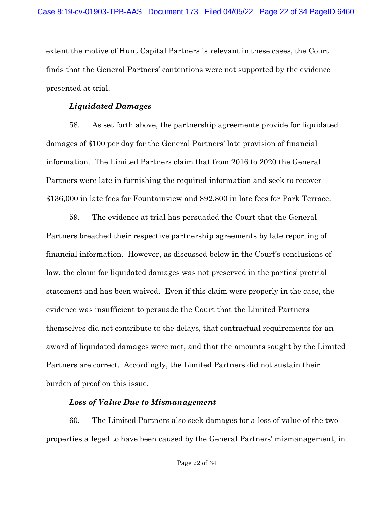extent the motive of Hunt Capital Partners is relevant in these cases, the Court finds that the General Partners' contentions were not supported by the evidence presented at trial.

## *Liquidated Damages*

58. As set forth above, the partnership agreements provide for liquidated damages of \$100 per day for the General Partners' late provision of financial information. The Limited Partners claim that from 2016 to 2020 the General Partners were late in furnishing the required information and seek to recover \$136,000 in late fees for Fountainview and \$92,800 in late fees for Park Terrace.

59. The evidence at trial has persuaded the Court that the General Partners breached their respective partnership agreements by late reporting of financial information. However, as discussed below in the Court's conclusions of law, the claim for liquidated damages was not preserved in the parties' pretrial statement and has been waived. Even if this claim were properly in the case, the evidence was insufficient to persuade the Court that the Limited Partners themselves did not contribute to the delays, that contractual requirements for an award of liquidated damages were met, and that the amounts sought by the Limited Partners are correct. Accordingly, the Limited Partners did not sustain their burden of proof on this issue.

## *Loss of Value Due to Mismanagement*

60. The Limited Partners also seek damages for a loss of value of the two properties alleged to have been caused by the General Partners' mismanagement, in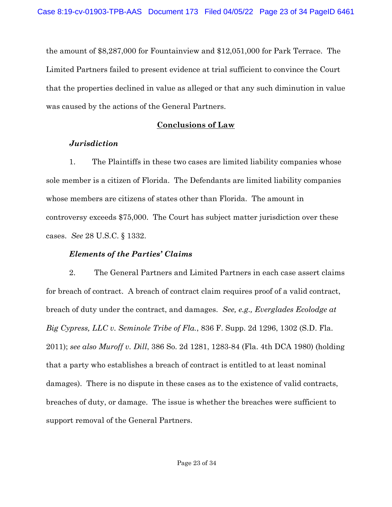the amount of \$8,287,000 for Fountainview and \$12,051,000 for Park Terrace. The Limited Partners failed to present evidence at trial sufficient to convince the Court that the properties declined in value as alleged or that any such diminution in value was caused by the actions of the General Partners.

## **Conclusions of Law**

## *Jurisdiction*

1. The Plaintiffs in these two cases are limited liability companies whose sole member is a citizen of Florida. The Defendants are limited liability companies whose members are citizens of states other than Florida. The amount in controversy exceeds \$75,000. The Court has subject matter jurisdiction over these cases. *See* 28 U.S.C. § 1332.

## *Elements of the Parties' Claims*

2. The General Partners and Limited Partners in each case assert claims for breach of contract. A breach of contract claim requires proof of a valid contract, breach of duty under the contract, and damages. *See, e.g., Everglades Ecolodge at Big Cypress, LLC v. Seminole Tribe of Fla.*, 836 F. Supp. 2d 1296, 1302 (S.D. Fla. 2011); *see also Muroff v. Dill*, 386 So. 2d 1281, 1283-84 (Fla. 4th DCA 1980) (holding that a party who establishes a breach of contract is entitled to at least nominal damages). There is no dispute in these cases as to the existence of valid contracts, breaches of duty, or damage. The issue is whether the breaches were sufficient to support removal of the General Partners.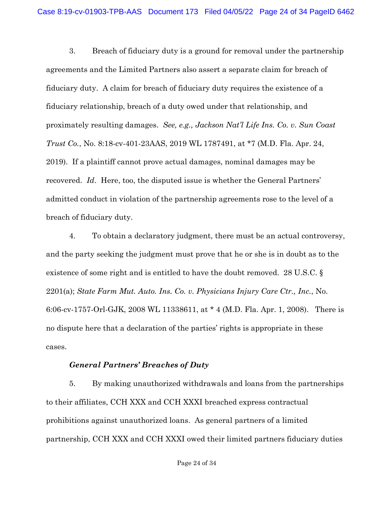3. Breach of fiduciary duty is a ground for removal under the partnership agreements and the Limited Partners also assert a separate claim for breach of fiduciary duty. A claim for breach of fiduciary duty requires the existence of a fiduciary relationship, breach of a duty owed under that relationship, and proximately resulting damages. *See, e.g., Jackson Nat'l Life Ins. Co. v. Sun Coast Trust Co.*, No. 8:18-cv-401-23AAS, 2019 WL 1787491, at \*7 (M.D. Fla. Apr. 24, 2019). If a plaintiff cannot prove actual damages, nominal damages may be recovered. *Id*. Here, too, the disputed issue is whether the General Partners' admitted conduct in violation of the partnership agreements rose to the level of a breach of fiduciary duty.

4. To obtain a declaratory judgment, there must be an actual controversy, and the party seeking the judgment must prove that he or she is in doubt as to the existence of some right and is entitled to have the doubt removed. 28 U.S.C. § 2201(a); *State Farm Mut. Auto. Ins. Co. v. Physicians Injury Care Ctr., Inc.*, No. 6:06-cv-1757-Orl-GJK, 2008 WL 11338611, at \* 4 (M.D. Fla. Apr. 1, 2008). There is no dispute here that a declaration of the parties' rights is appropriate in these cases.

### *General Partners' Breaches of Duty*

5. By making unauthorized withdrawals and loans from the partnerships to their affiliates, CCH XXX and CCH XXXI breached express contractual prohibitions against unauthorized loans. As general partners of a limited partnership, CCH XXX and CCH XXXI owed their limited partners fiduciary duties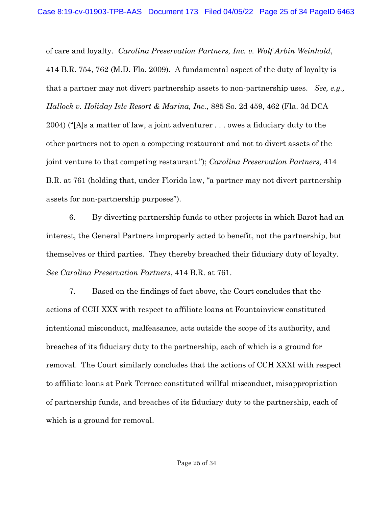of care and loyalty. *Carolina Preservation Partners, Inc. v. Wolf Arbin Weinhold*, 414 B.R. 754, 762 (M.D. Fla. 2009). A fundamental aspect of the duty of loyalty is that a partner may not divert partnership assets to non-partnership uses. *See, e.g., Hallock v. Holiday Isle Resort & Marina, Inc.*, 885 So. 2d 459, 462 (Fla. 3d DCA 2004) ("[A]s a matter of law, a joint adventurer . . . owes a fiduciary duty to the other partners not to open a competing restaurant and not to divert assets of the joint venture to that competing restaurant."); *Carolina Preservation Partners,* 414 B.R. at 761 (holding that, under Florida law, "a partner may not divert partnership assets for non-partnership purposes").

6. By diverting partnership funds to other projects in which Barot had an interest, the General Partners improperly acted to benefit, not the partnership, but themselves or third parties. They thereby breached their fiduciary duty of loyalty. *See Carolina Preservation Partners*, 414 B.R. at 761.

7. Based on the findings of fact above, the Court concludes that the actions of CCH XXX with respect to affiliate loans at Fountainview constituted intentional misconduct, malfeasance, acts outside the scope of its authority, and breaches of its fiduciary duty to the partnership, each of which is a ground for removal. The Court similarly concludes that the actions of CCH XXXI with respect to affiliate loans at Park Terrace constituted willful misconduct, misappropriation of partnership funds, and breaches of its fiduciary duty to the partnership, each of which is a ground for removal.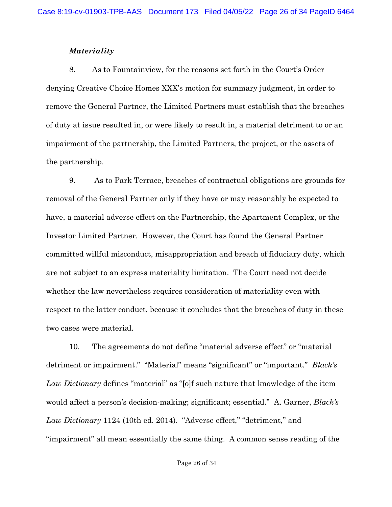### *Materiality*

8. As to Fountainview, for the reasons set forth in the Court's Order denying Creative Choice Homes XXX's motion for summary judgment, in order to remove the General Partner, the Limited Partners must establish that the breaches of duty at issue resulted in, or were likely to result in, a material detriment to or an impairment of the partnership, the Limited Partners, the project, or the assets of the partnership.

9. As to Park Terrace, breaches of contractual obligations are grounds for removal of the General Partner only if they have or may reasonably be expected to have, a material adverse effect on the Partnership, the Apartment Complex, or the Investor Limited Partner. However, the Court has found the General Partner committed willful misconduct, misappropriation and breach of fiduciary duty, which are not subject to an express materiality limitation. The Court need not decide whether the law nevertheless requires consideration of materiality even with respect to the latter conduct, because it concludes that the breaches of duty in these two cases were material.

10. The agreements do not define "material adverse effect" or "material detriment or impairment." "Material" means "significant" or "important." *Black's Law Dictionary* defines "material" as "[o]f such nature that knowledge of the item would affect a person's decision-making; significant; essential." A. Garner, *Black's Law Dictionary* 1124 (10th ed. 2014). "Adverse effect," "detriment," and "impairment" all mean essentially the same thing. A common sense reading of the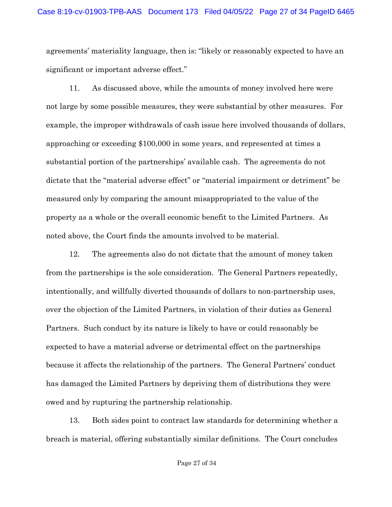agreements' materiality language, then is: "likely or reasonably expected to have an significant or important adverse effect."

11. As discussed above, while the amounts of money involved here were not large by some possible measures, they were substantial by other measures. For example, the improper withdrawals of cash issue here involved thousands of dollars, approaching or exceeding \$100,000 in some years, and represented at times a substantial portion of the partnerships' available cash. The agreements do not dictate that the "material adverse effect" or "material impairment or detriment" be measured only by comparing the amount misappropriated to the value of the property as a whole or the overall economic benefit to the Limited Partners. As noted above, the Court finds the amounts involved to be material.

12. The agreements also do not dictate that the amount of money taken from the partnerships is the sole consideration. The General Partners repeatedly, intentionally, and willfully diverted thousands of dollars to non-partnership uses, over the objection of the Limited Partners, in violation of their duties as General Partners. Such conduct by its nature is likely to have or could reasonably be expected to have a material adverse or detrimental effect on the partnerships because it affects the relationship of the partners. The General Partners' conduct has damaged the Limited Partners by depriving them of distributions they were owed and by rupturing the partnership relationship.

13. Both sides point to contract law standards for determining whether a breach is material, offering substantially similar definitions. The Court concludes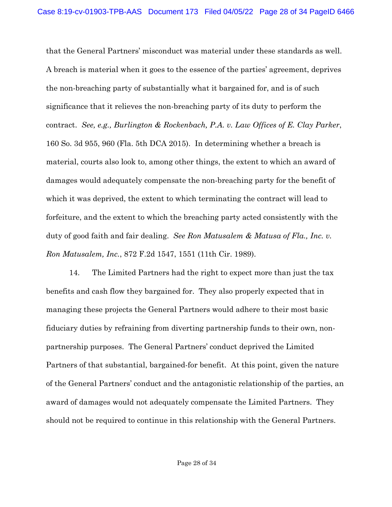that the General Partners' misconduct was material under these standards as well. A breach is material when it goes to the essence of the parties' agreement, deprives the non-breaching party of substantially what it bargained for, and is of such significance that it relieves the non-breaching party of its duty to perform the contract. *See, e.g., Burlington & Rockenbach, P.A. v. Law Offices of E. Clay Parker*, 160 So. 3d 955, 960 (Fla. 5th DCA 2015). In determining whether a breach is material, courts also look to, among other things, the extent to which an award of damages would adequately compensate the non-breaching party for the benefit of which it was deprived, the extent to which terminating the contract will lead to forfeiture, and the extent to which the breaching party acted consistently with the duty of good faith and fair dealing. *See Ron Matusalem & Matusa of Fla., Inc. v. Ron Matusalem, Inc.*, 872 F.2d 1547, 1551 (11th Cir. 1989).

14. The Limited Partners had the right to expect more than just the tax benefits and cash flow they bargained for. They also properly expected that in managing these projects the General Partners would adhere to their most basic fiduciary duties by refraining from diverting partnership funds to their own, nonpartnership purposes. The General Partners' conduct deprived the Limited Partners of that substantial, bargained-for benefit. At this point, given the nature of the General Partners' conduct and the antagonistic relationship of the parties, an award of damages would not adequately compensate the Limited Partners. They should not be required to continue in this relationship with the General Partners.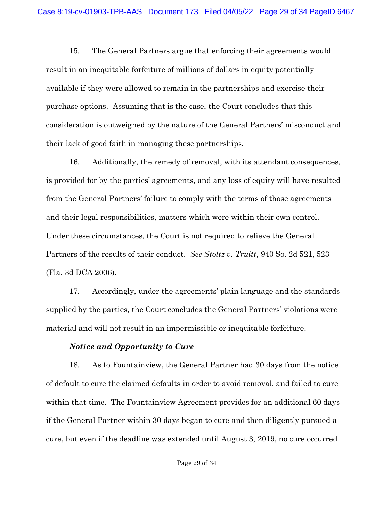15. The General Partners argue that enforcing their agreements would result in an inequitable forfeiture of millions of dollars in equity potentially available if they were allowed to remain in the partnerships and exercise their purchase options. Assuming that is the case, the Court concludes that this consideration is outweighed by the nature of the General Partners' misconduct and their lack of good faith in managing these partnerships.

16. Additionally, the remedy of removal, with its attendant consequences, is provided for by the parties' agreements, and any loss of equity will have resulted from the General Partners' failure to comply with the terms of those agreements and their legal responsibilities, matters which were within their own control. Under these circumstances, the Court is not required to relieve the General Partners of the results of their conduct. *See Stoltz v. Truitt*, 940 So. 2d 521, 523 (Fla. 3d DCA 2006).

17. Accordingly, under the agreements' plain language and the standards supplied by the parties, the Court concludes the General Partners' violations were material and will not result in an impermissible or inequitable forfeiture.

### *Notice and Opportunity to Cure*

18. As to Fountainview, the General Partner had 30 days from the notice of default to cure the claimed defaults in order to avoid removal, and failed to cure within that time. The Fountainview Agreement provides for an additional 60 days if the General Partner within 30 days began to cure and then diligently pursued a cure, but even if the deadline was extended until August 3, 2019, no cure occurred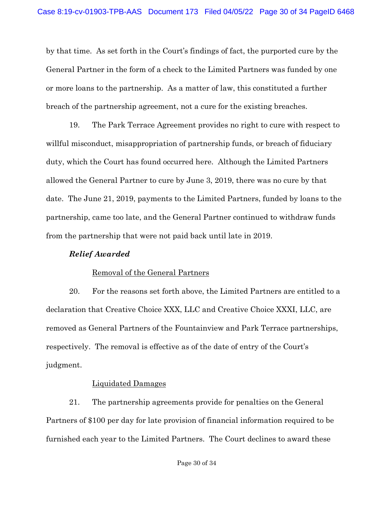by that time. As set forth in the Court's findings of fact, the purported cure by the General Partner in the form of a check to the Limited Partners was funded by one or more loans to the partnership. As a matter of law, this constituted a further breach of the partnership agreement, not a cure for the existing breaches.

19. The Park Terrace Agreement provides no right to cure with respect to willful misconduct, misappropriation of partnership funds, or breach of fiduciary duty, which the Court has found occurred here. Although the Limited Partners allowed the General Partner to cure by June 3, 2019, there was no cure by that date. The June 21, 2019, payments to the Limited Partners, funded by loans to the partnership, came too late, and the General Partner continued to withdraw funds from the partnership that were not paid back until late in 2019.

### *Relief Awarded*

### Removal of the General Partners

20. For the reasons set forth above, the Limited Partners are entitled to a declaration that Creative Choice XXX, LLC and Creative Choice XXXI, LLC, are removed as General Partners of the Fountainview and Park Terrace partnerships, respectively. The removal is effective as of the date of entry of the Court's judgment.

### Liquidated Damages

21. The partnership agreements provide for penalties on the General Partners of \$100 per day for late provision of financial information required to be furnished each year to the Limited Partners. The Court declines to award these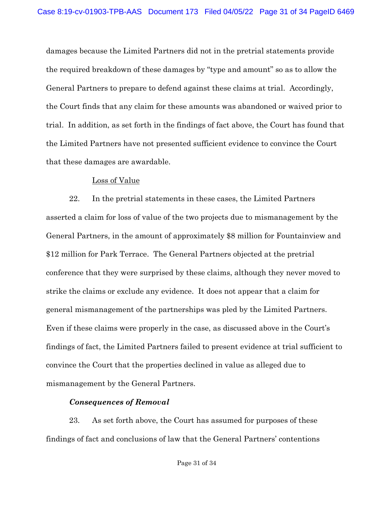damages because the Limited Partners did not in the pretrial statements provide the required breakdown of these damages by "type and amount" so as to allow the General Partners to prepare to defend against these claims at trial. Accordingly, the Court finds that any claim for these amounts was abandoned or waived prior to trial. In addition, as set forth in the findings of fact above, the Court has found that the Limited Partners have not presented sufficient evidence to convince the Court that these damages are awardable.

### Loss of Value

22. In the pretrial statements in these cases, the Limited Partners asserted a claim for loss of value of the two projects due to mismanagement by the General Partners, in the amount of approximately \$8 million for Fountainview and \$12 million for Park Terrace. The General Partners objected at the pretrial conference that they were surprised by these claims, although they never moved to strike the claims or exclude any evidence. It does not appear that a claim for general mismanagement of the partnerships was pled by the Limited Partners. Even if these claims were properly in the case, as discussed above in the Court's findings of fact, the Limited Partners failed to present evidence at trial sufficient to convince the Court that the properties declined in value as alleged due to mismanagement by the General Partners.

## *Consequences of Removal*

23. As set forth above, the Court has assumed for purposes of these findings of fact and conclusions of law that the General Partners' contentions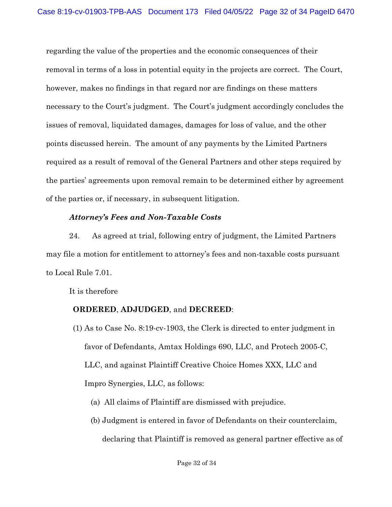regarding the value of the properties and the economic consequences of their removal in terms of a loss in potential equity in the projects are correct. The Court, however, makes no findings in that regard nor are findings on these matters necessary to the Court's judgment. The Court's judgment accordingly concludes the issues of removal, liquidated damages, damages for loss of value, and the other points discussed herein. The amount of any payments by the Limited Partners required as a result of removal of the General Partners and other steps required by the parties' agreements upon removal remain to be determined either by agreement of the parties or, if necessary, in subsequent litigation.

## *Attorney's Fees and Non-Taxable Costs*

24. As agreed at trial, following entry of judgment, the Limited Partners may file a motion for entitlement to attorney's fees and non-taxable costs pursuant to Local Rule 7.01.

It is therefore

# **ORDERED**, **ADJUDGED**, and **DECREED**:

- (1) As to Case No. 8:19-cv-1903, the Clerk is directed to enter judgment in favor of Defendants, Amtax Holdings 690, LLC, and Protech 2005-C, LLC, and against Plaintiff Creative Choice Homes XXX, LLC and Impro Synergies, LLC, as follows:
	- (a) All claims of Plaintiff are dismissed with prejudice.
	- (b) Judgment is entered in favor of Defendants on their counterclaim, declaring that Plaintiff is removed as general partner effective as of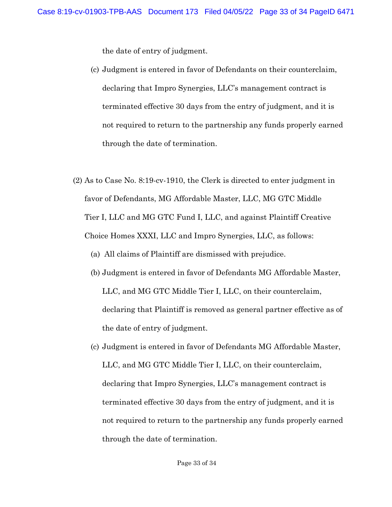the date of entry of judgment.

- (c) Judgment is entered in favor of Defendants on their counterclaim, declaring that Impro Synergies, LLC's management contract is terminated effective 30 days from the entry of judgment, and it is not required to return to the partnership any funds properly earned through the date of termination.
- (2) As to Case No. 8:19-cv-1910, the Clerk is directed to enter judgment in favor of Defendants, MG Affordable Master, LLC, MG GTC Middle Tier I, LLC and MG GTC Fund I, LLC, and against Plaintiff Creative Choice Homes XXXI, LLC and Impro Synergies, LLC, as follows:
	- (a) All claims of Plaintiff are dismissed with prejudice.
	- (b) Judgment is entered in favor of Defendants MG Affordable Master, LLC, and MG GTC Middle Tier I, LLC, on their counterclaim, declaring that Plaintiff is removed as general partner effective as of the date of entry of judgment.
	- (c) Judgment is entered in favor of Defendants MG Affordable Master, LLC, and MG GTC Middle Tier I, LLC, on their counterclaim, declaring that Impro Synergies, LLC's management contract is terminated effective 30 days from the entry of judgment, and it is not required to return to the partnership any funds properly earned through the date of termination.